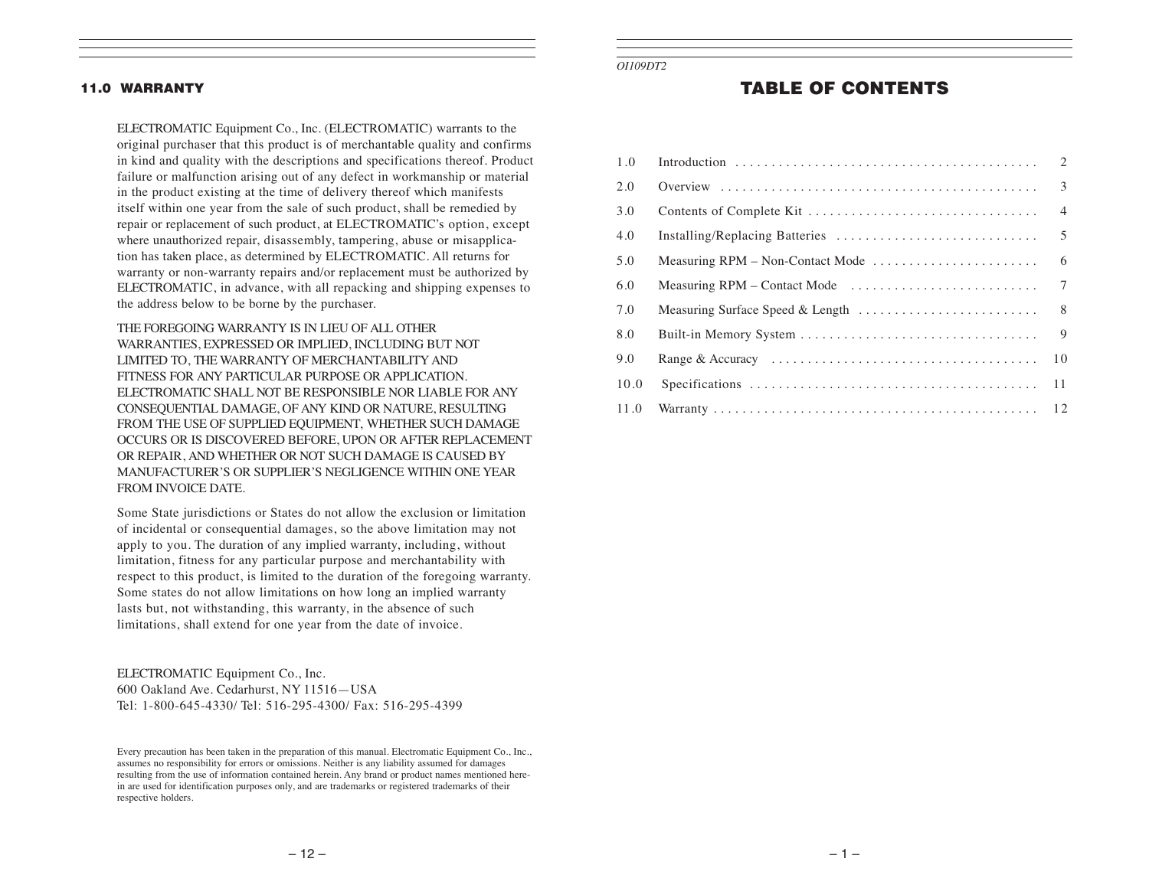#### 11.0 WARRANTY

ELECTROMATIC Equipment Co., Inc. (ELECTROMATIC) warrants to the original purchaser that this product is of merchantable quality and confirms in kind and quality with the descriptions and specifications thereof. Product failure or malfunction arising out of any defect in workmanship or material in the product existing at the time of delivery thereof which manifests itself within one year from the sale of such product, shall be remedied by repair or replacement of such product, at ELECTROMATIC's option, except where unauthorized repair, disassembly, tampering, abuse or misapplication has taken place, as determined by ELECTROMATIC. All returns for warranty or non-warranty repairs and/or replacement must be authorized by ELECTROMATIC, in advance, with all repacking and shipping expenses to the address below to be borne by the purchaser.

THE FOREGOING WARRANTY IS IN LIEU OF ALL OTHER WARRANTIES, EXPRESSED OR IMPLIED, INCLUDING BUT NOT LIMITED TO, THE WARRANTY OF MERCHANTABILITY AND FITNESS FOR ANY PARTICULAR PURPOSE OR APPLICATION. ELECTROMATIC SHALL NOT BE RESPONSIBLE NOR LIABLE FOR ANY CONSEQUENTIAL DAMAGE, OF ANY KIND OR NATURE, RESULTING FROM THE USE OF SUPPLIED EQUIPMENT, WHETHER SUCH DAMAGE OCCURS OR IS DISCOVERED BEFORE, UPON OR AFTER REPLACEMENT OR REPAIR, AND WHETHER OR NOT SUCH DAMAGE IS CAUSED BY MANUFACTURER'S OR SUPPLIER'S NEGLIGENCE WITHIN ONE YEAR FROM INVOICE DATE.

Some State jurisdictions or States do not allow the exclusion or limitation of incidental or consequential damages, so the above limitation may not apply to you. The duration of any implied warranty, including, without limitation, fitness for any particular purpose and merchantability with respect to this product, is limited to the duration of the foregoing warranty. Some states do not allow limitations on how long an implied warranty lasts but, not withstanding, this warranty, in the absence of such limitations, shall extend for one year from the date of invoice.

ELECTROMATIC Equipment Co., Inc. 600 Oakland Ave. Cedarhurst, NY 11516—USA Tel: 1-800-645-4330/ Tel: 516-295-4300/ Fax: 516-295-4399 *OI109DT2*

## TABLE OF CONTENTS

| 1.0  |                                  | $\overline{2}$ |
|------|----------------------------------|----------------|
| 2.0  |                                  | 3              |
| 3.0  |                                  | $\overline{4}$ |
| 4.0  | Installing/Replacing Batteries   | 5              |
| 5.0  | Measuring RPM - Non-Contact Mode | 6              |
| 6.0  |                                  | $\overline{7}$ |
| 7.0  | Measuring Surface Speed & Length | 8              |
| 8.0  |                                  | 9              |
| 9.0  |                                  | 1 <sub>0</sub> |
| 10.0 |                                  | 11             |
| 11.0 |                                  |                |

Every precaution has been taken in the preparation of this manual. Electromatic Equipment Co., Inc., assumes no responsibility for errors or omissions. Neither is any liability assumed for damages resulting from the use of information contained herein. Any brand or product names mentioned herein are used for identification purposes only, and are trademarks or registered trademarks of their respective holders.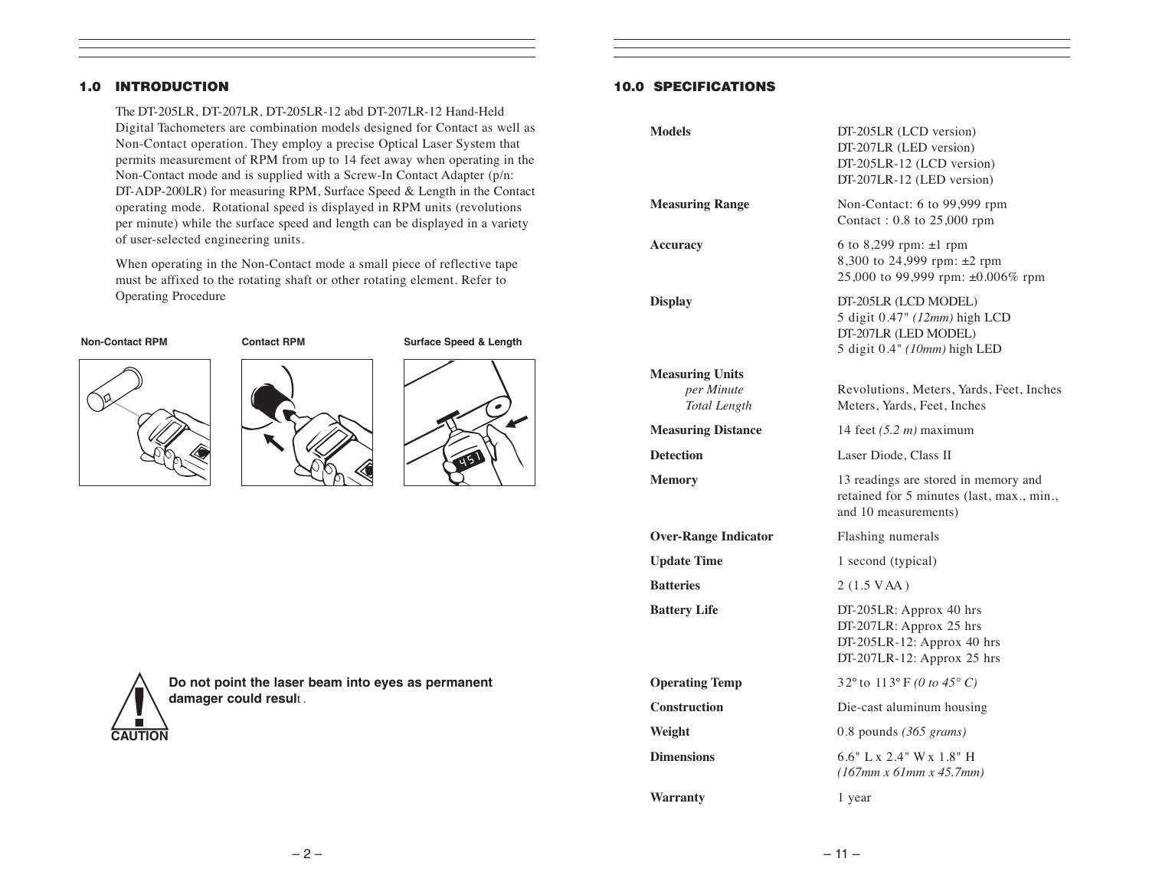#### 1.0 INTRODUCTION

The DT-205LR, DT-207LR, DT-205LR-12 abd DT-207LR-12 Hand-Held Digital Tachometers are combination models designed for Contact as well as Non-Contact operation. They employ a precise Optical Laser System that permits measurement of RPM from up to 14 feet away when operating in the Non-Contact mode and is supplied with a Screw-In Contact Adapter (p/n: DT-ADP-200LR) for measuring RPM, Surface Speed & Length in the Contact operating mode. Rotational speed is displayed in RPM units (revolutions per minute) while the surface speed and length can be displayed in a variety of user-selected engineering units.

When operating in the Non-Contact mode a small piece of reflective tape must be affixed to the rotating shaft or other rotating element. Refer to Operating Procedure









**! Do not point the laser beam into eyes as permanent damager could resul**<sup>t</sup> .

#### 10.0 SPECIFICATIONS

| <b>Models</b>                     | DT-205LR (LCD version)<br>DT-207LR (LED version)<br>DT-205LR-12 (LCD version)<br>DT-207LR-12 (LED version)     |
|-----------------------------------|----------------------------------------------------------------------------------------------------------------|
| <b>Measuring Range</b>            | Non-Contact: 6 to 99,999 rpm<br>Contact: 0.8 to 25,000 rpm                                                     |
| Accuracy                          | 6 to 8,299 rpm: ±1 rpm<br>8,300 to 24,999 rpm: ±2 rpm<br>25,000 to 99,999 rpm: ±0.006% rpm                     |
| <b>Display</b>                    | DT-205LR (LCD MODEL)<br>5 digit 0.47" (12mm) high LCD<br>DT-207LR (LED MODEL)<br>5 digit 0.4" (10mm) high LED  |
| <b>Measuring Units</b>            |                                                                                                                |
| per Minute<br><b>Total Length</b> | Revolutions, Meters, Yards, Feet, Inches<br>Meters, Yards, Feet, Inches                                        |
| <b>Measuring Distance</b>         | 14 feet $(5.2 \, m)$ maximum                                                                                   |
| <b>Detection</b>                  | Laser Diode, Class II                                                                                          |
| <b>Memory</b>                     | 13 readings are stored in memory and<br>retained for 5 minutes (last, max., min.,<br>and 10 measurements)      |
| <b>Over-Range Indicator</b>       | Flashing numerals                                                                                              |
| <b>Update Time</b>                | 1 second (typical)                                                                                             |
| <b>Batteries</b>                  | $2(1.5 \text{ VAA})$                                                                                           |
| <b>Battery Life</b>               | DT-205LR: Approx 40 hrs<br>DT-207LR: Approx 25 hrs<br>DT-205LR-12: Approx 40 hrs<br>DT-207LR-12: Approx 25 hrs |
| <b>Operating Temp</b>             | 32° to 113° F (0 to 45° C)                                                                                     |
| <b>Construction</b>               | Die-cast aluminum housing                                                                                      |
| Weight                            | 0.8 pounds $(365 \text{ grams})$                                                                               |
| <b>Dimensions</b>                 | $6.6"$ L x 2.4" W x 1.8" H<br>$(167mm \times 61mm \times 45.7mm)$                                              |
| <b>Warranty</b>                   | 1 year                                                                                                         |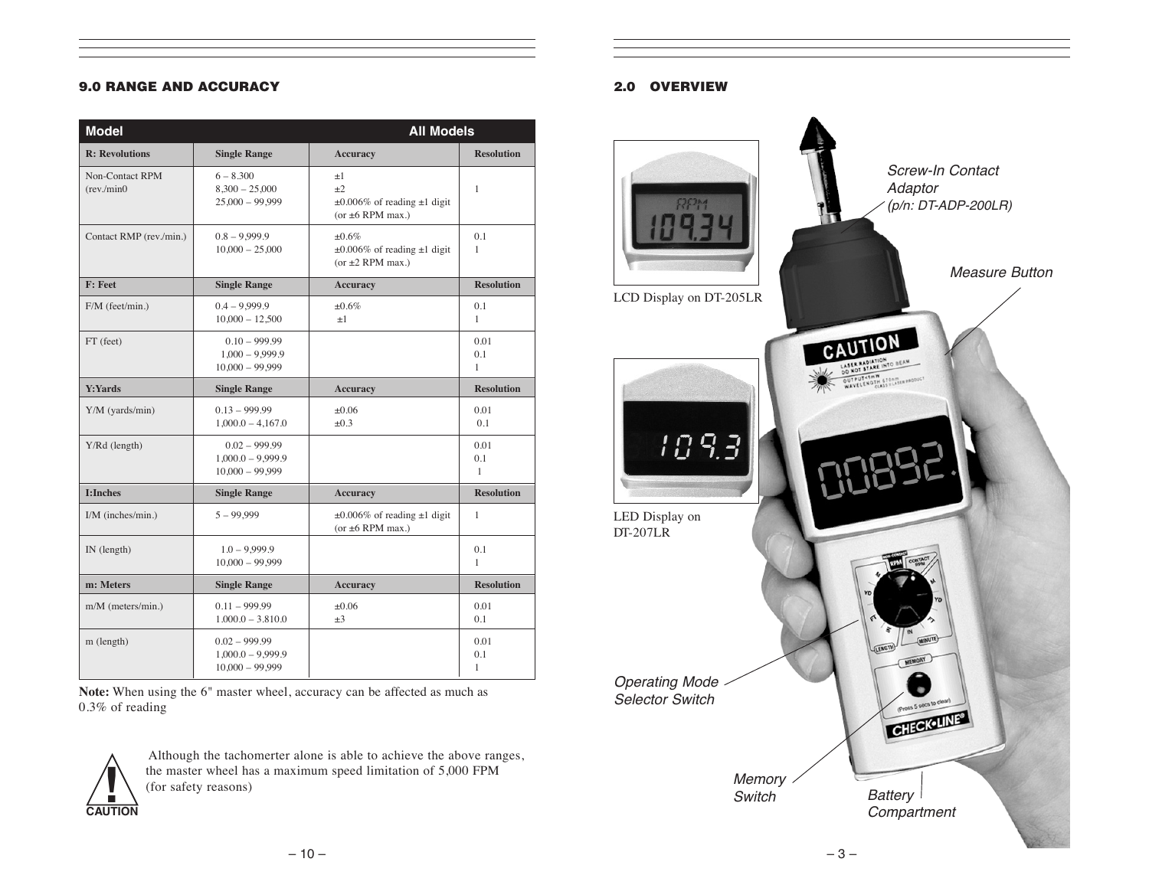#### 9.0 RANGE AND ACCURACY

| <b>Model</b>                         |                                                             | <b>All Models</b>                                                                  |                             |  |
|--------------------------------------|-------------------------------------------------------------|------------------------------------------------------------------------------------|-----------------------------|--|
| <b>R:</b> Revolutions                | <b>Single Range</b>                                         | <b>Accuracy</b>                                                                    | <b>Resolution</b>           |  |
| <b>Non-Contact RPM</b><br>(rev/min0) | $6 - 8,300$<br>$8,300 - 25,000$<br>$25,000 - 99,999$        | $\pm 1$<br>$+2$<br>$\pm 0.006\%$ of reading $\pm 1$ digit<br>(or $\pm 6$ RPM max.) | 1                           |  |
| Contact RMP (rev./min.)              | $0.8 - 9.999.9$<br>$10,000 - 25,000$                        | ±0.6%<br>$\pm 0.006\%$ of reading $\pm 1$ digit<br>(or $\pm 2$ RPM max.)           | 0.1<br>$\mathbf{1}$         |  |
| <b>F: Feet</b>                       | <b>Single Range</b>                                         | <b>Accuracy</b>                                                                    | <b>Resolution</b>           |  |
| F/M (feet/min.)                      | $0.4 - 9.999.9$<br>$10,000 - 12,500$                        | ±0.6%<br>$\pm 1$                                                                   | 0.1<br>$\mathbf{1}$         |  |
| FT (feet)                            | $0.10 - 999.99$<br>$1,000 - 9,999.9$<br>$10,000 - 99,999$   |                                                                                    | 0.01<br>0.1<br>$\mathbf{1}$ |  |
| <b>Y:Yards</b>                       | <b>Single Range</b>                                         | <b>Accuracy</b>                                                                    | <b>Resolution</b>           |  |
| Y/M (yards/min)                      | $0.13 - 999.99$<br>$1,000.0 - 4,167.0$                      | $\pm 0.06$<br>$\pm 0.3$                                                            | 0.01<br>0.1                 |  |
| Y/Rd (length)                        | $0.02 - 999.99$<br>$1,000.0 - 9,999.9$<br>$10,000 - 99,999$ |                                                                                    | 0.01<br>0.1<br>$\mathbf{1}$ |  |
| <b>I:Inches</b>                      | <b>Single Range</b>                                         | <b>Accuracy</b>                                                                    | <b>Resolution</b>           |  |
| I/M (inches/min.)                    | $5 - 99.999$                                                | $\pm 0.006\%$ of reading $\pm 1$ digit<br>(or $\pm 6$ RPM max.)                    | 1                           |  |
| IN (length)                          | $1.0 - 9.999.9$<br>$10,000 - 99,999$                        |                                                                                    | 0.1<br>$\mathbf{1}$         |  |
| m: Meters                            | <b>Single Range</b>                                         | <b>Accuracy</b>                                                                    | <b>Resolution</b>           |  |
| m/M (meters/min.)                    | $0.11 - 999.99$<br>$1.000.0 - 3.810.0$                      | $\pm 0.06$<br>$\pm 3$                                                              | 0.01<br>0.1                 |  |
| m (length)                           | $0.02 - 999.99$<br>$1,000.0 - 9,999.9$<br>$10,000 - 99,999$ |                                                                                    | 0.01<br>0.1<br>$\mathbf{1}$ |  |

**Note:** When using the 6" master wheel, accuracy can be affected as much as 0.3% of reading



Although the tachomerter alone is able to achieve the above ranges, the master wheel has a maximum speed limitation of 5,000 FPM (for safety reasons)

#### 2.0 OVERVIEW

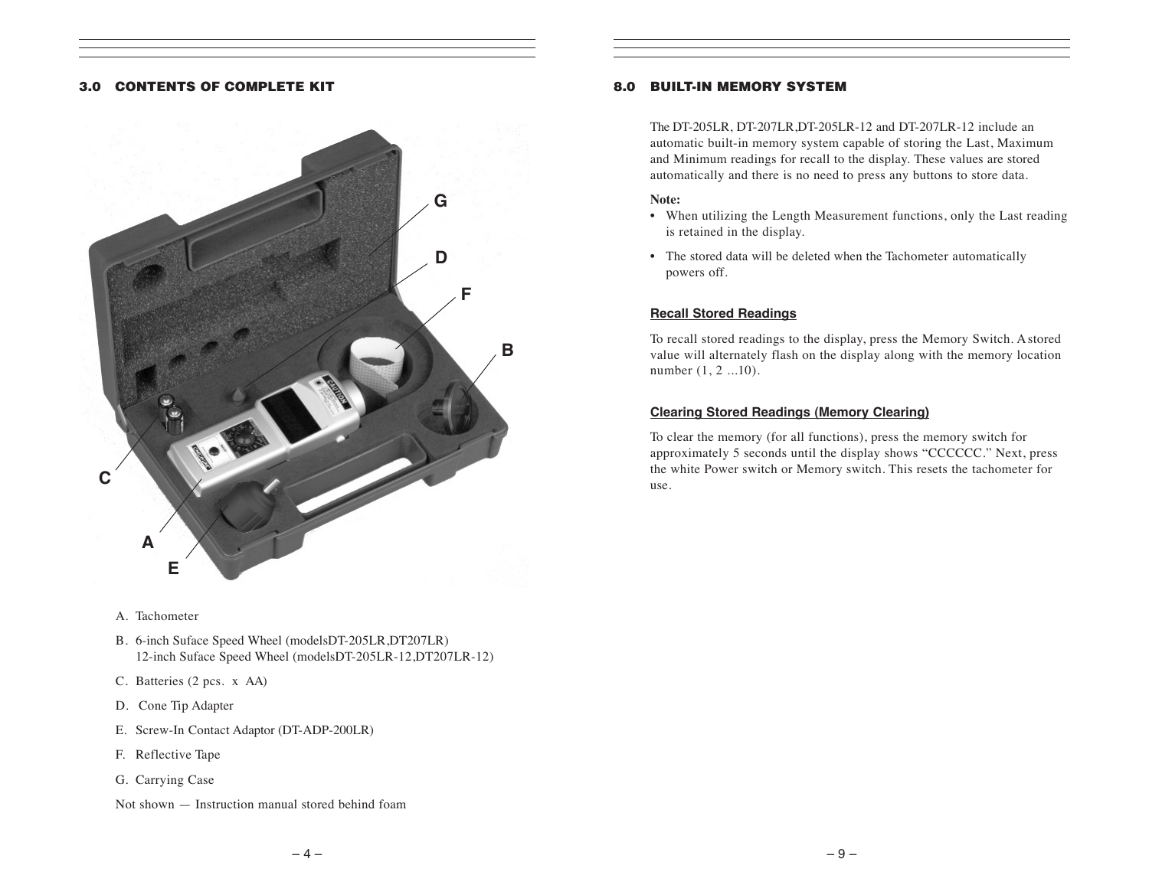#### 3.0 CONTENTS OF COMPLETE KIT



- A. Tachometer
- B. 6-inch Suface Speed Wheel (modelsDT-205LR,DT207LR) 12-inch Suface Speed Wheel (modelsDT-205LR-12,DT207LR-12)
- C. Batteries (2 pcs. x AA)
- D. Cone Tip Adapter
- E. Screw-In Contact Adaptor (DT-ADP-200LR)
- F. Reflective Tape
- G. Carrying Case

#### Not shown — Instruction manual stored behind foam

#### 8.0 BUILT-IN MEMORY SYSTEM

The DT-205LR, DT-207LR,DT-205LR-12 and DT-207LR-12 include an automatic built-in memory system capable of storing the Last, Maximum and Minimum readings for recall to the display. These values are stored automatically and there is no need to press any buttons to store data.

#### **Note:**

- When utilizing the Length Measurement functions, only the Last reading is retained in the display.
- The stored data will be deleted when the Tachometer automatically powers off.

#### **Recall Stored Readings**

To recall stored readings to the display, press the Memory Switch. A stored value will alternately flash on the display along with the memory location number  $(1, 2$  ...10).

#### **Clearing Stored Readings (Memory Clearing)**

To clear the memory (for all functions), press the memory switch for approximately 5 seconds until the display shows "CCCCCC." Next, press the white Power switch or Memory switch. This resets the tachometer for use.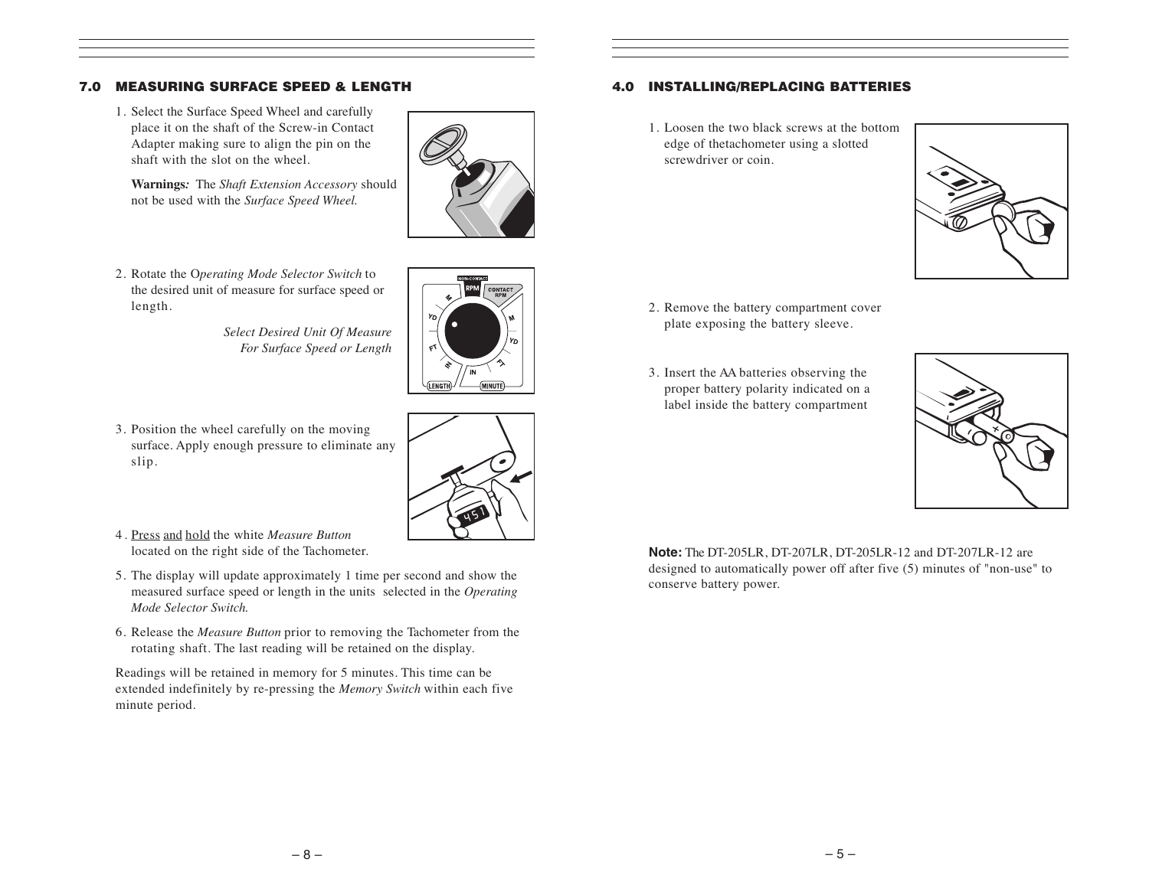#### 7.0 MEASURING SURFACE SPEED & LENGTH

1. Select the Surface Speed Wheel and carefully place it on the shaft of the Screw-in Contact Adapter making sure to align the pin on the shaft with the slot on the wheel.

**Warnings***:* The *Shaft Extension Accessory* should not be used with the *Surface Speed Wheel.*



2. Rotate the O*perating Mode Selector Switch* to the desired unit of measure for surface speed or length.

> *Select Desired Unit Of Measure For Surface Speed or Length*



3. Position the wheel carefully on the moving surface. Apply enough pressure to eliminate any slip.



- 4. Press and hold the white *Measure Button* located on the right side of the Tachometer.
- 5. The display will update approximately 1 time per second and show the measured surface speed or length in the units selected in the *Operating Mode Selector Switch.*
- 6. Release the *Measure Button* prior to removing the Tachometer from the rotating shaft. The last reading will be retained on the display.

Readings will be retained in memory for 5 minutes. This time can be extended indefinitely by re-pressing the *Memory Switch* within each five minute period.

#### 4.0 INSTALLING/REPLACING BATTERIES

1. Loosen the two black screws at the bottom edge of thetachometer using a slotted screwdriver or coin.



- 2. Remove the battery compartment cover plate exposing the battery sleeve.
- 3. Insert the AA batteries observing the proper battery polarity indicated on a label inside the battery compartment



**Note:** The DT-205LR, DT-207LR, DT-205LR-12 and DT-207LR-12 are designed to automatically power off after five (5) minutes of "non-use" to conserve battery power.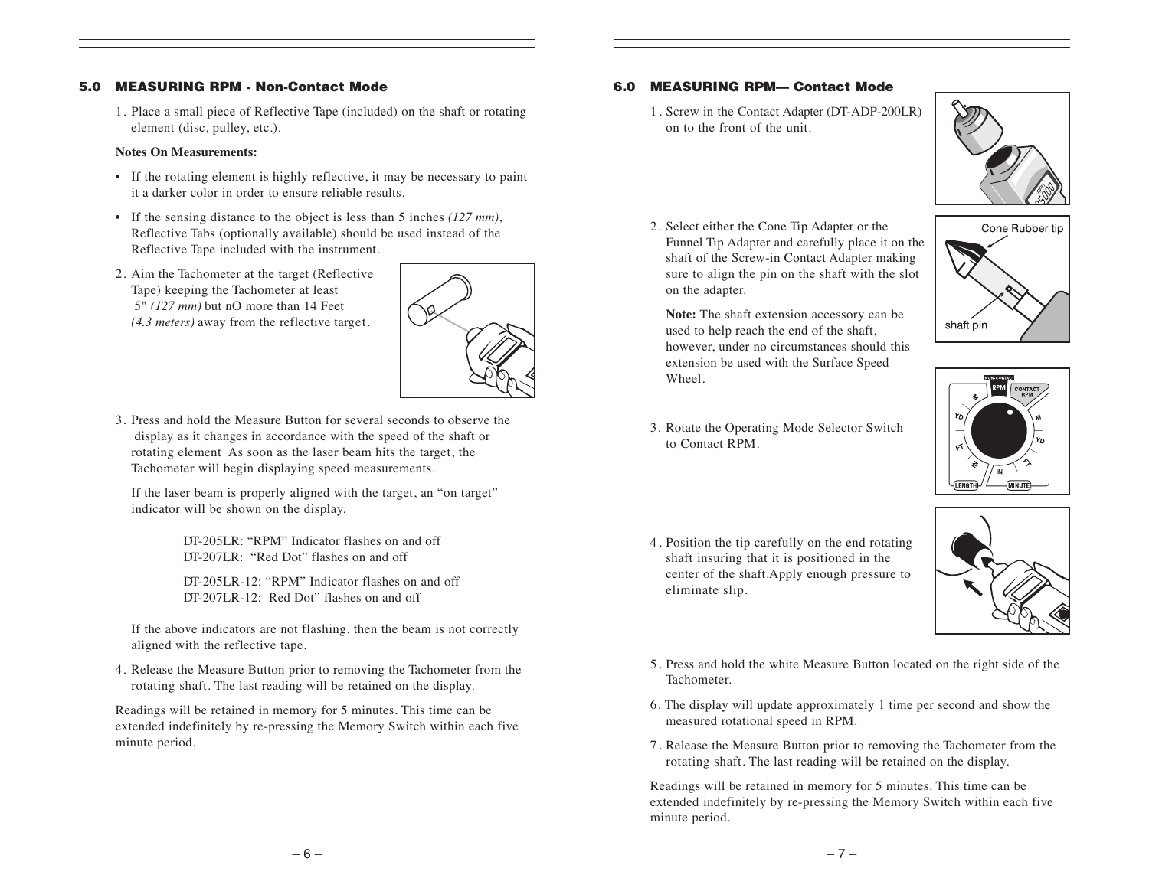#### 5.0 MEASURING RPM - Non-Contact Mode

1. Place a small piece of Reflective Tape (included) on the shaft or rotating element (disc, pulley, etc.).

#### **Notes On Measurements:**

- If the rotating element is highly reflective, it may be necessary to paint it a darker color in order to ensure reliable results.
- If the sensing distance to the object is less than 5 inches *(127 mm)*, Reflective Tabs (optionally available) should be used instead of the Reflective Tape included with the instrument.
- 2. Aim the Tachometer at the target (Reflective Tape) keeping the Tachometer at least 5" *(127 mm)* but nO more than 14 Feet *(4.3 meters)* away from the reflective target.



3. Press and hold the Measure Button for several seconds to observe the display as it changes in accordance with the speed of the shaft or rotating element As soon as the laser beam hits the target, the Tachometer will begin displaying speed measurements.

If the laser beam is properly aligned with the target, an "on target" indicator will be shown on the display.

> DT-205LR: "RPM" Indicator flashes on and off DT-207LR: "Red Dot" flashes on and off

DT-205LR-12: "RPM" Indicator flashes on and off DT-207LR-12: Red Dot" flashes on and off

If the above indicators are not flashing, then the beam is not correctly aligned with the reflective tape.

4. Release the Measure Button prior to removing the Tachometer from the rotating shaft. The last reading will be retained on the display.

Readings will be retained in memory for 5 minutes. This time can be extended indefinitely by re-pressing the Memory Switch within each five minute period.

#### 6.0 MEASURING RPM— Contact Mode

1. Screw in the Contact Adapter (DT-ADP-200LR) on to the front of the unit.



2. Select either the Cone Tip Adapter or the Funnel Tip Adapter and carefully place it on the shaft of the Screw-in Contact Adapter making sure to align the pin on the shaft with the slot on the adapter.

**Note:** The shaft extension accessory can be used to help reach the end of the shaft, however, under no circumstances should this extension be used with the Surface Speed Wheel.





- 3. Rotate the Operating Mode Selector Switch to Contact RPM.
- 4. Position the tip carefully on the end rotating shaft insuring that it is positioned in the center of the shaft.Apply enough pressure to eliminate slip.



- 5. Press and hold the white Measure Button located on the right side of the Tachometer.
- 6. The display will update approximately 1 time per second and show the measured rotational speed in RPM.
- 7. Release the Measure Button prior to removing the Tachometer from the rotating shaft. The last reading will be retained on the display.

Readings will be retained in memory for 5 minutes. This time can be extended indefinitely by re-pressing the Memory Switch within each five minute period.